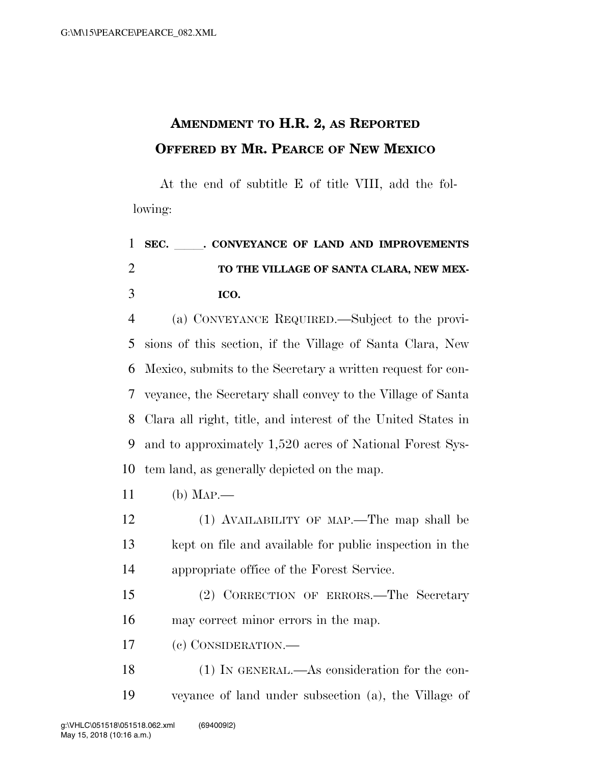## **AMENDMENT TO H.R. 2, AS REPORTED OFFERED BY MR. PEARCE OF NEW MEXICO**

At the end of subtitle E of title VIII, add the following:

## 1 SEC. CONVEYANCE OF LAND AND IMPROVEMENTS **TO THE VILLAGE OF SANTA CLARA, NEW MEX-ICO.**

 (a) CONVEYANCE REQUIRED.—Subject to the provi- sions of this section, if the Village of Santa Clara, New Mexico, submits to the Secretary a written request for con- veyance, the Secretary shall convey to the Village of Santa Clara all right, title, and interest of the United States in and to approximately 1,520 acres of National Forest Sys-tem land, as generally depicted on the map.

(b) MAP.—

 (1) AVAILABILITY OF MAP.—The map shall be kept on file and available for public inspection in the appropriate office of the Forest Service.

 (2) CORRECTION OF ERRORS.—The Secretary may correct minor errors in the map.

(c) CONSIDERATION.—

 (1) IN GENERAL.—As consideration for the con-veyance of land under subsection (a), the Village of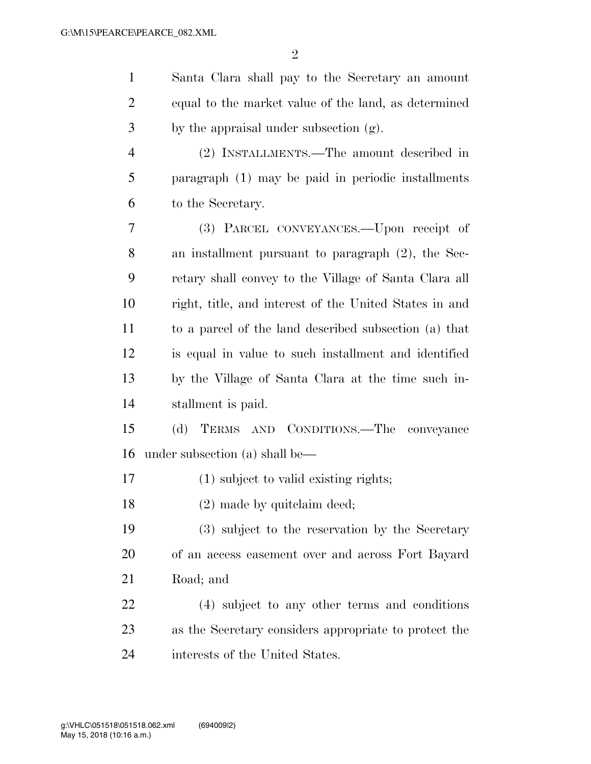| $\mathbf{1}$   | Santa Clara shall pay to the Secretary an amount       |
|----------------|--------------------------------------------------------|
| $\overline{2}$ | equal to the market value of the land, as determined   |
| 3              | by the appraisal under subsection (g).                 |
| $\overline{4}$ | (2) INSTALLMENTS.—The amount described in              |
| 5              | paragraph (1) may be paid in periodic installments     |
| 6              | to the Secretary.                                      |
| 7              | (3) PARCEL CONVEYANCES.—Upon receipt of                |
| 8              | an installment pursuant to paragraph (2), the Sec-     |
| 9              | retary shall convey to the Village of Santa Clara all  |
| 10             | right, title, and interest of the United States in and |
| 11             | to a parcel of the land described subsection (a) that  |
| 12             | is equal in value to such installment and identified   |
| 13             | by the Village of Santa Clara at the time such in-     |
| 14             | stallment is paid.                                     |
| 15             | (d) TERMS AND CONDITIONS.—The conveyance               |
| 16             | under subsection (a) shall be—                         |
| 17             | (1) subject to valid existing rights;                  |
| 18             | $(2)$ made by quite laim deed;                         |
| 19             | (3) subject to the reservation by the Secretary        |
| 20             | of an access easement over and across Fort Bayard      |
| 21             | Road; and                                              |
| 22             | (4) subject to any other terms and conditions          |
| 23             | as the Secretary considers appropriate to protect the  |
| 24             | interests of the United States.                        |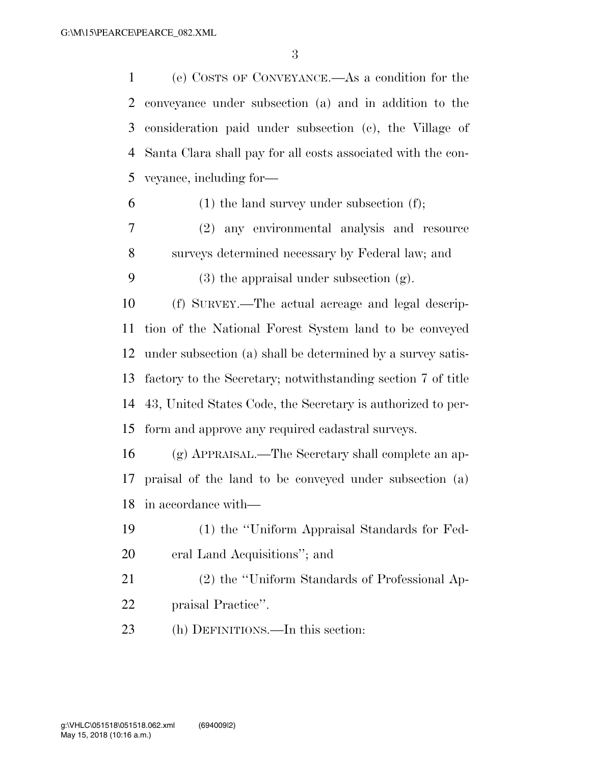| $\mathbf{1}$ | (e) COSTS OF CONVEYANCE.—As a condition for the              |
|--------------|--------------------------------------------------------------|
| 2            | conveyance under subsection (a) and in addition to the       |
| 3            | consideration paid under subsection (c), the Village of      |
| 4            | Santa Clara shall pay for all costs associated with the con- |
| 5            | veyance, including for-                                      |
| 6            | $(1)$ the land survey under subsection $(f)$ ;               |
| 7            | (2) any environmental analysis and resource                  |
| 8            | surveys determined necessary by Federal law; and             |
| 9            | $(3)$ the appraisal under subsection $(g)$ .                 |
| 10           | (f) SURVEY.—The actual acreage and legal descrip-            |
| 11           | tion of the National Forest System land to be conveyed       |
| 12           | under subsection (a) shall be determined by a survey satis-  |
| 13           | factory to the Secretary; notwithstanding section 7 of title |
| 14           | 43, United States Code, the Secretary is authorized to per-  |
| 15           | form and approve any required cadastral surveys.             |
| 16           | (g) APPRAISAL.—The Secretary shall complete an ap-           |
| 17           | praisal of the land to be conveyed under subsection (a)      |
| 18           | in accordance with—                                          |
| 19           | (1) the "Uniform Appraisal Standards for Fed-                |
| 20           | eral Land Acquisitions"; and                                 |
| 21           | (2) the "Uniform Standards of Professional Ap-               |
| 22           | praisal Practice".                                           |
| 23           | (h) DEFINITIONS.—In this section:                            |